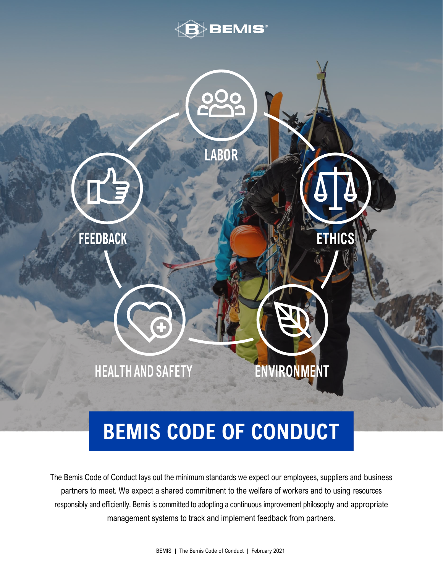



# **BEMIS CODE OF CONDUCT**

The Bemis Code of Conduct lays out the minimum standards we expect our employees, suppliers and business partners to meet. We expect a shared commitment to the welfare of workers and to using resources responsibly and efficiently. Bemis is committed to adopting a continuous improvement philosophy and appropriate management systems to track and implement feedback from partners.